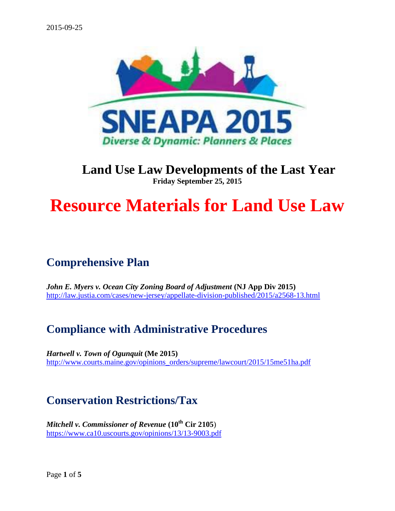

#### **Land Use Law Developments of the Last Year Friday September 25, 2015**

# **Resource Materials for Land Use Law**

## **Comprehensive Plan**

*John E. Myers v. Ocean City Zoning Board of Adjustment* **(NJ App Div 2015)** <http://law.justia.com/cases/new-jersey/appellate-division-published/2015/a2568-13.html>

### **Compliance with Administrative Procedures**

*Hartwell v. Town of Ogunquit* **(Me 2015)** [http://www.courts.maine.gov/opinions\\_orders/supreme/lawcourt/2015/15me51ha.pdf](http://www.courts.maine.gov/opinions_orders/supreme/lawcourt/2015/15me51ha.pdf)

### **Conservation Restrictions/Tax**

*Mitchell v. Commissioner of Revenue* **(10th Cir 2105**) <https://www.ca10.uscourts.gov/opinions/13/13-9003.pdf>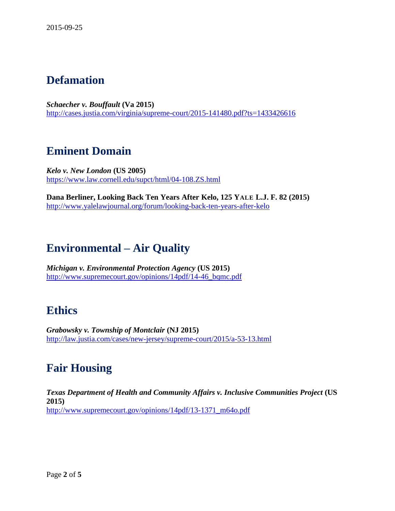### **Defamation**

*Schaecher v. Bouffault* **(Va 2015)** <http://cases.justia.com/virginia/supreme-court/2015-141480.pdf?ts=1433426616>

#### **Eminent Domain**

*Kelo v. New London* **(US 2005)** <https://www.law.cornell.edu/supct/html/04-108.ZS.html>

**Dana Berliner, Looking Back Ten Years After Kelo, 125 YALE L.J. F. 82 (2015)** <http://www.yalelawjournal.org/forum/looking-back-ten-years-after-kelo>

### **Environmental – Air Quality**

*Michigan v. Environmental Protection Agency* **(US 2015)** [http://www.supremecourt.gov/opinions/14pdf/14-46\\_bqmc.pdf](http://www.supremecourt.gov/opinions/14pdf/14-46_bqmc.pdf)

#### **Ethics**

*Grabowsky v. Township of Montclair* **(NJ 2015)** <http://law.justia.com/cases/new-jersey/supreme-court/2015/a-53-13.html>

### **Fair Housing**

*Texas Department of Health and Community Affairs v. Inclusive Communities Project* **(US 2015)** [http://www.supremecourt.gov/opinions/14pdf/13-1371\\_m64o.pdf](http://www.supremecourt.gov/opinions/14pdf/13-1371_m64o.pdf)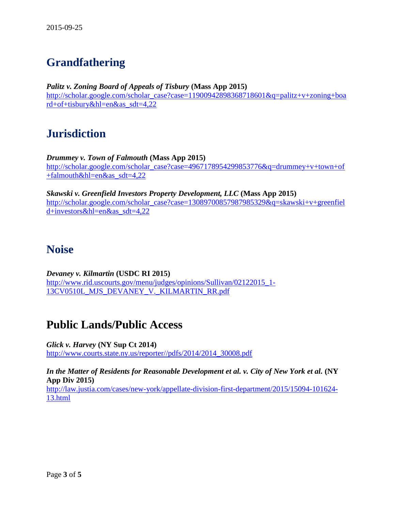# **Grandfathering**

*Palitz v. Zoning Board of Appeals of Tisbury* **(Mass App 2015)** [http://scholar.google.com/scholar\\_case?case=11900942898368718601&q=palitz+v+zoning+boa](http://scholar.google.com/scholar_case?case=11900942898368718601&q=palitz+v+zoning+board+of+tisbury&hl=en&as_sdt=4,22) [rd+of+tisbury&hl=en&as\\_sdt=4,22](http://scholar.google.com/scholar_case?case=11900942898368718601&q=palitz+v+zoning+board+of+tisbury&hl=en&as_sdt=4,22)

### **Jurisdiction**

*Drummey v. Town of Falmouth* **(Mass App 2015)** [http://scholar.google.com/scholar\\_case?case=4967178954299853776&q=drummey+v+town+of](http://scholar.google.com/scholar_case?case=4967178954299853776&q=drummey+v+town+of+falmouth&hl=en&as_sdt=4,22) [+falmouth&hl=en&as\\_sdt=4,22](http://scholar.google.com/scholar_case?case=4967178954299853776&q=drummey+v+town+of+falmouth&hl=en&as_sdt=4,22)

*Skawski v. Greenfield Investors Property Development, LLC* **(Mass App 2015)** [http://scholar.google.com/scholar\\_case?case=13089700857987985329&q=skawski+v+greenfiel](http://scholar.google.com/scholar_case?case=13089700857987985329&q=skawski+v+greenfield+investors&hl=en&as_sdt=4,22) [d+investors&hl=en&as\\_sdt=4,22](http://scholar.google.com/scholar_case?case=13089700857987985329&q=skawski+v+greenfield+investors&hl=en&as_sdt=4,22)

#### **Noise**

*Devaney v. Kilmartin* **(USDC RI 2015)** [http://www.rid.uscourts.gov/menu/judges/opinions/Sullivan/02122015\\_1-](http://www.rid.uscourts.gov/menu/judges/opinions/Sullivan/02122015_1-13CV0510L_MJS_DEVANEY_V._KILMARTIN_RR.pdf) [13CV0510L\\_MJS\\_DEVANEY\\_V.\\_KILMARTIN\\_RR.pdf](http://www.rid.uscourts.gov/menu/judges/opinions/Sullivan/02122015_1-13CV0510L_MJS_DEVANEY_V._KILMARTIN_RR.pdf)

### **Public Lands/Public Access**

*Glick v. Harvey* **(NY Sup Ct 2014)** [http://www.courts.state.ny.us/reporter//pdfs/2014/2014\\_30008.pdf](http://www.courts.state.ny.us/reporter/pdfs/2014/2014_30008.pdf)

*In the Matter of Residents for Reasonable Development et al. v. City of New York et al.* **(NY App Div 2015)** [http://law.justia.com/cases/new-york/appellate-division-first-department/2015/15094-101624-](http://law.justia.com/cases/new-york/appellate-division-first-department/2015/15094-101624-13.html) [13.html](http://law.justia.com/cases/new-york/appellate-division-first-department/2015/15094-101624-13.html)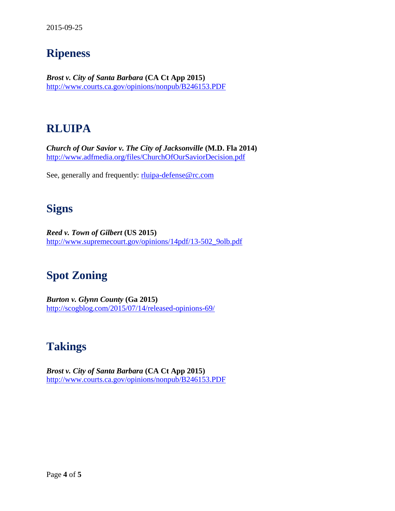### **Ripeness**

*Brost v. City of Santa Barbara* **(CA Ct App 2015)** <http://www.courts.ca.gov/opinions/nonpub/B246153.PDF>

### **RLUIPA**

*Church of Our Savior v. The City of Jacksonville* **(M.D. Fla 2014)** <http://www.adfmedia.org/files/ChurchOfOurSaviorDecision.pdf>

See, generally and frequently: [rluipa-defense@rc.com](mailto:rluipa-defense@rc.com)

### **Signs**

*Reed v. Town of Gilbert* **(US 2015)** [http://www.supremecourt.gov/opinions/14pdf/13-502\\_9olb.pdf](http://www.supremecourt.gov/opinions/14pdf/13-502_9olb.pdf)

# **Spot Zoning**

*Burton v. Glynn County* **(Ga 2015)** <http://scogblog.com/2015/07/14/released-opinions-69/>

### **Takings**

*Brost v. City of Santa Barbara* **(CA Ct App 2015)** <http://www.courts.ca.gov/opinions/nonpub/B246153.PDF>